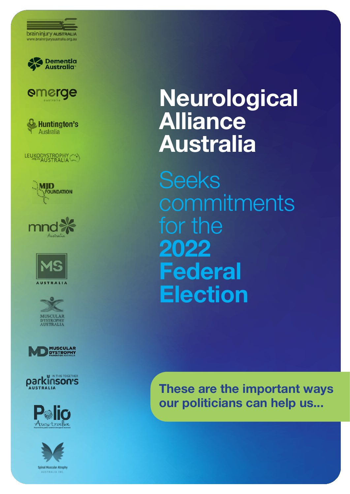

























# **Neurological Alliance Australia**

Seeks **commitments** for the **2022 Federal Election**

**These are the important ways our politicians can help us...**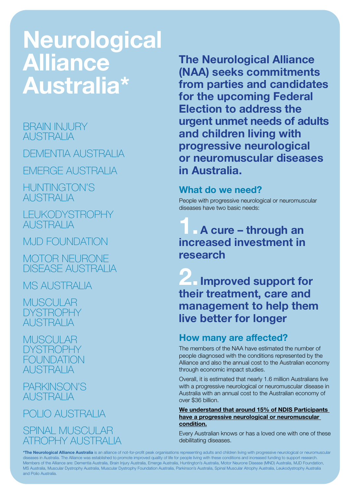# **Neurological Alliance Australia\***

### BRAIN INJURY AUSTRALIA

DEMENTIA AUSTRALIA

EMERGE AUSTRALIA

HUNTINGTON'S AUSTRALIA

LEUKODYSTROPHY AUSTRALIA

MJD FOUNDATION

MOTOR NEURONE DISEASE AUSTRALIA

MS AUSTRALIA

MUSCULAR **DYSTROPHY** AUSTRALIA

MUSCULAR DYSTROPHY FOI INDATION AUSTRALIA

PARKINSON'S AUSTRALIA

POLIO AUSTRALIA SPINAL MUSCULAR ATROPHY AUSTRALIA

**The Neurological Alliance (NAA) seeks commitments from parties and candidates for the upcoming Federal Election to address the urgent unmet needs of adults and children living with progressive neurological or neuromuscular diseases in Australia.**

### **What do we need?**

People with progressive neurological or neuromuscular diseases have two basic needs:

## **1.A cure – through an increased investment in research**

**2.Improved support for their treatment, care and management to help them live better for longer**

### **How many are affected?**

The members of the NAA have estimated the number of people diagnosed with the conditions represented by the Alliance and also the annual cost to the Australian economy through economic impact studies.

Overall, it is estimated that nearly 1.6 million Australians live with a progressive neurological or neuromuscular disease in Australia with an annual cost to the Australian economy of over \$36 billion.

#### **[We understand that around 15% of NDIS Participants](https://www.ndis.gov.au/about-us/publications/quarterly-reports)  [have a progressive neurological or neuromuscular](https://www.ndis.gov.au/about-us/publications/quarterly-reports)  [condition.](https://www.ndis.gov.au/about-us/publications/quarterly-reports)**

Every Australian knows or has a loved one with one of these debilitating diseases.

**MS AUSTRALIA AUSTRALIA (UNIX AUSTRALIA AUSTRALIA AUSTRALIA AUSTRALIA AUSTRALIA AUSTRALIA AUSTRALIA AUSTRALIA**<br>Unix australia australia australia australia australia australia australia australia australia australia austr **\*The Neurological Alliance Australia** is an alliance of not-for-profit peak organisations representing adults and children living with progressive neurological or neuromuscular diseases in Australia. The Alliance was established to promote improved quality of life for people living with these conditions and increased funding to support research. Members of the Alliance are: Dementia Australia, Brain Injury Australia, Emerge Australia, Huntington's Australia, Motor Neurone Disease (MND) Australia, MJD Foundation, MS Australia, Muscular Dystrophy Australia, Muscular Dystrophy Foundation Australia, Parkinson's Australia, Spinal Muscular Atrophy Australia, Leukodystrophy Australia and Polio Australia.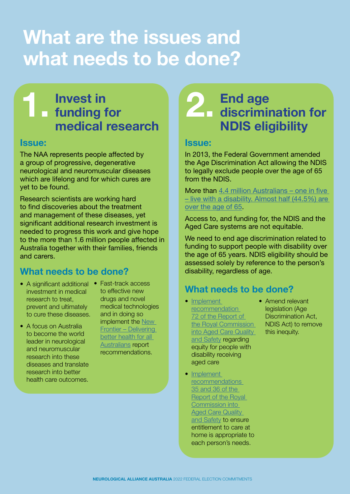# **What are the issues and what needs to be done?**

#### **Invest in funding for medical research 1.**

#### **Issue:**

The NAA represents people affected by a group of progressive, degenerative neurological and neuromuscular diseases which are lifelong and for which cures are yet to be found.

Research scientists are working hard to find discoveries about the treatment and management of these diseases, yet significant additional research investment is needed to progress this work and give hope to the more than 1.6 million people affected in Australia together with their families, friends and carers.

### **What needs to be done?**

- A significant additional Fast-track access investment in medical research to treat, prevent and ultimately to cure these diseases.
- A focus on Australia to become the world leader in neurological and neuromuscular research into these diseases and translate research into better health care outcomes.

to effective new drugs and novel medical technologies and in doing so implement the New [Frontier – Delivering](https://www.aph.gov.au/Parliamentary_Business/Committees/House/Health_Aged_Care_and_Sport/Newdrugs/Report)  better health for all [Australians](https://www.aph.gov.au/Parliamentary_Business/Committees/House/Health_Aged_Care_and_Sport/Newdrugs/Report) report recommendations.

### **End age discrimination for NDIS eligibility 2.**

#### **Issue:**

In 2013, the Federal Government amended the Age Discrimination Act allowing the NDIS to legally exclude people over the age of 65 from the NDIS.

More than 4.4 million Australians – one in five [– live with a disability. Almost half \(44.5%\) are](https://www.abs.gov.au/statistics/health/disability/disability-ageing-and-carers-australia-summary-findings/latest-release)  [over the age of 65.](https://www.abs.gov.au/statistics/health/disability/disability-ageing-and-carers-australia-summary-findings/latest-release)

Access to, and funding for, the NDIS and the Aged Care systems are not equitable.

We need to end age discrimination related to funding to support people with disability over the age of 65 years. NDIS eligibility should be assessed solely by reference to the person's disability, regardless of age.

#### **What needs to be done?**

- Implement [recommendation](https://agedcare.royalcommission.gov.au/sites/default/files/2021-03/final-report-recommendations.pdf)  72 of the Report of [the Royal Commission](https://agedcare.royalcommission.gov.au/sites/default/files/2021-03/final-report-recommendations.pdf)  [into Aged Care Quality](https://agedcare.royalcommission.gov.au/sites/default/files/2021-03/final-report-recommendations.pdf)  [and Safety](https://agedcare.royalcommission.gov.au/sites/default/files/2021-03/final-report-recommendations.pdf) regarding equity for people with disability receiving aged care
- Implement [recommendations](https://agedcare.royalcommission.gov.au/publications/final-report-list-recommendations)  [35 and 36 of the](https://agedcare.royalcommission.gov.au/publications/final-report-list-recommendations)  [Report of the Royal](https://agedcare.royalcommission.gov.au/publications/final-report-list-recommendations)  [Commission into](https://agedcare.royalcommission.gov.au/publications/final-report-list-recommendations)  **Aged Care Quality** [and Safety](https://agedcare.royalcommission.gov.au/publications/final-report-list-recommendations) to ensure

entitlement to care at home is appropriate to each person's needs.

• Amend relevant legislation (Age Discrimination Act, NDIS Act) to remove this inequity.